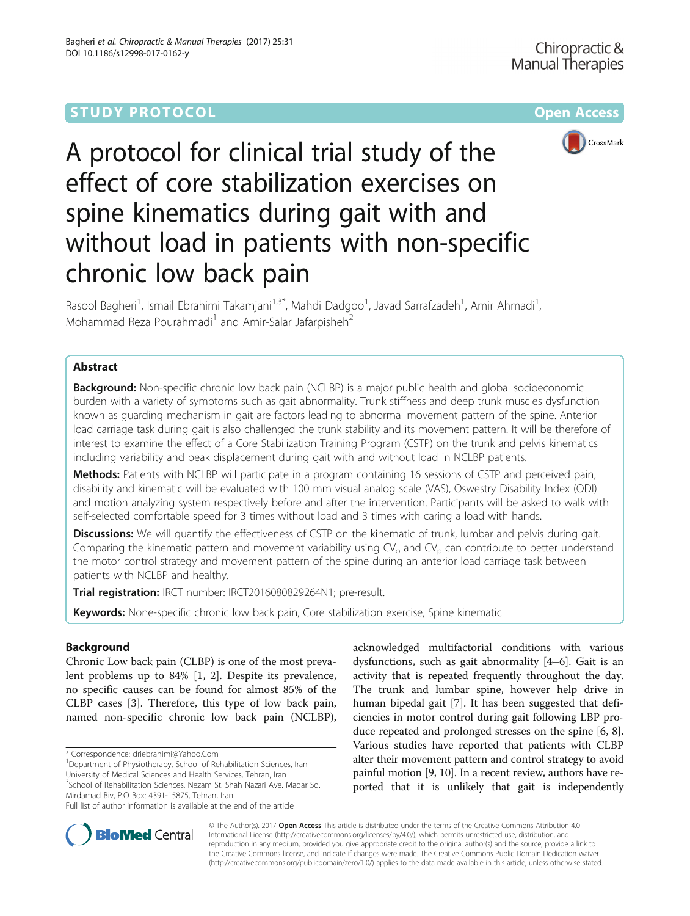

A protocol for clinical trial study of the effect of core stabilization exercises on spine kinematics during gait with and without load in patients with non-specific chronic low back pain

Rasool Bagheri<sup>1</sup>, Ismail Ebrahimi Takamjani<sup>1,3\*</sup>, Mahdi Dadgoo<sup>1</sup>, Javad Sarrafzadeh<sup>1</sup>, Amir Ahmadi<sup>1</sup> , Mohammad Reza Pourahmadi<sup>1</sup> and Amir-Salar Jafarpisheh<sup>2</sup>

# Abstract

**Background:** Non-specific chronic low back pain (NCLBP) is a major public health and global socioeconomic burden with a variety of symptoms such as gait abnormality. Trunk stiffness and deep trunk muscles dysfunction known as guarding mechanism in gait are factors leading to abnormal movement pattern of the spine. Anterior load carriage task during gait is also challenged the trunk stability and its movement pattern. It will be therefore of interest to examine the effect of a Core Stabilization Training Program (CSTP) on the trunk and pelvis kinematics including variability and peak displacement during gait with and without load in NCLBP patients.

Methods: Patients with NCLBP will participate in a program containing 16 sessions of CSTP and perceived pain, disability and kinematic will be evaluated with 100 mm visual analog scale (VAS), Oswestry Disability Index (ODI) and motion analyzing system respectively before and after the intervention. Participants will be asked to walk with self-selected comfortable speed for 3 times without load and 3 times with caring a load with hands.

**Discussions:** We will quantify the effectiveness of CSTP on the kinematic of trunk, lumbar and pelvis during gait. Comparing the kinematic pattern and movement variability using  $CV_0$  and  $CV_p$  can contribute to better understand the motor control strategy and movement pattern of the spine during an anterior load carriage task between patients with NCLBP and healthy.

Trial registration: IRCT number: [IRCT2016080829264N1](http://en.search.irct.ir/search?query=IRCT2016080829264N1&=Search); pre-result.

Keywords: None-specific chronic low back pain, Core stabilization exercise, Spine kinematic

# Background

Chronic Low back pain (CLBP) is one of the most prevalent problems up to 84% [\[1](#page-6-0), [2\]](#page-6-0). Despite its prevalence, no specific causes can be found for almost 85% of the CLBP cases [\[3\]](#page-6-0). Therefore, this type of low back pain, named non-specific chronic low back pain (NCLBP),

<sup>1</sup>Department of Physiotherapy, School of Rehabilitation Sciences, Iran University of Medical Sciences and Health Services, Tehran, Iran <sup>3</sup>School of Rehabilitation Sciences, Nezam St. Shah Nazari Ave. Madar Sq. Mirdamad Biv, P.O Box: 4391-15875, Tehran, Iran

acknowledged multifactorial conditions with various dysfunctions, such as gait abnormality [\[4](#page-6-0)–[6\]](#page-6-0). Gait is an activity that is repeated frequently throughout the day. The trunk and lumbar spine, however help drive in human bipedal gait [\[7](#page-6-0)]. It has been suggested that deficiencies in motor control during gait following LBP produce repeated and prolonged stresses on the spine [\[6](#page-6-0), [8](#page-6-0)]. Various studies have reported that patients with CLBP alter their movement pattern and control strategy to avoid painful motion [[9, 10](#page-6-0)]. In a recent review, authors have reported that it is unlikely that gait is independently



© The Author(s). 2017 **Open Access** This article is distributed under the terms of the Creative Commons Attribution 4.0 International License [\(http://creativecommons.org/licenses/by/4.0/](http://creativecommons.org/licenses/by/4.0/)), which permits unrestricted use, distribution, and reproduction in any medium, provided you give appropriate credit to the original author(s) and the source, provide a link to the Creative Commons license, and indicate if changes were made. The Creative Commons Public Domain Dedication waiver [\(http://creativecommons.org/publicdomain/zero/1.0/](http://creativecommons.org/publicdomain/zero/1.0/)) applies to the data made available in this article, unless otherwise stated.

<sup>\*</sup> Correspondence: [driebrahimi@Yahoo.Com](mailto:driebrahimi@Yahoo.Com) <sup>1</sup>

Full list of author information is available at the end of the article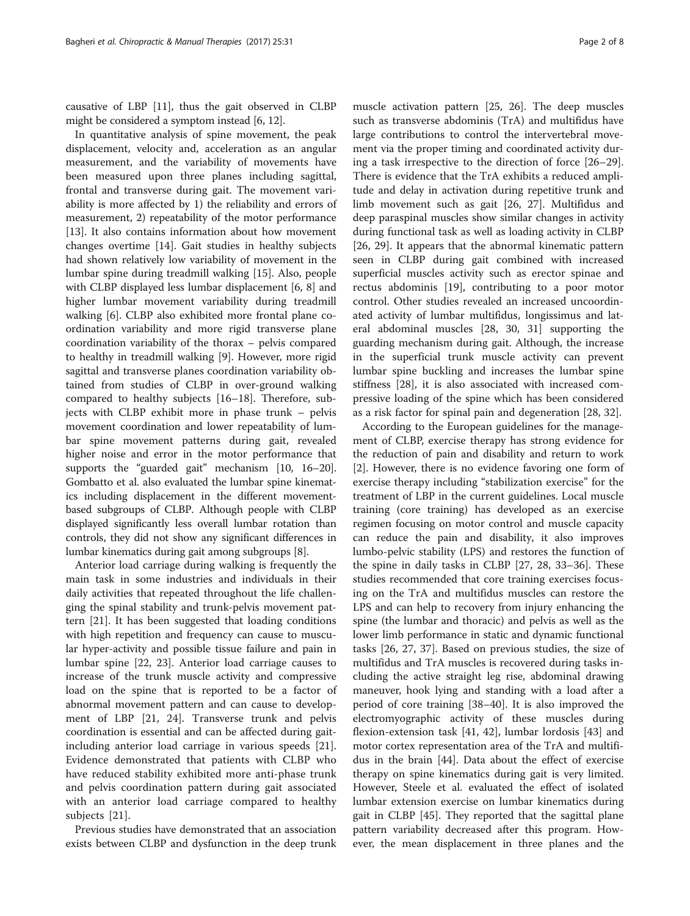causative of LBP [\[11\]](#page-6-0), thus the gait observed in CLBP might be considered a symptom instead [[6, 12\]](#page-6-0).

In quantitative analysis of spine movement, the peak displacement, velocity and, acceleration as an angular measurement, and the variability of movements have been measured upon three planes including sagittal, frontal and transverse during gait. The movement variability is more affected by 1) the reliability and errors of measurement, 2) repeatability of the motor performance [[13\]](#page-6-0). It also contains information about how movement changes overtime [\[14\]](#page-7-0). Gait studies in healthy subjects had shown relatively low variability of movement in the lumbar spine during treadmill walking [[15](#page-7-0)]. Also, people with CLBP displayed less lumbar displacement [\[6](#page-6-0), [8](#page-6-0)] and higher lumbar movement variability during treadmill walking [[6\]](#page-6-0). CLBP also exhibited more frontal plane coordination variability and more rigid transverse plane coordination variability of the thorax – pelvis compared to healthy in treadmill walking [[9](#page-6-0)]. However, more rigid sagittal and transverse planes coordination variability obtained from studies of CLBP in over-ground walking compared to healthy subjects [[16](#page-7-0)–[18](#page-7-0)]. Therefore, subjects with CLBP exhibit more in phase trunk – pelvis movement coordination and lower repeatability of lumbar spine movement patterns during gait, revealed higher noise and error in the motor performance that supports the "guarded gait" mechanism [[10](#page-6-0), [16](#page-7-0)–[20](#page-7-0)]. Gombatto et al. also evaluated the lumbar spine kinematics including displacement in the different movementbased subgroups of CLBP. Although people with CLBP displayed significantly less overall lumbar rotation than controls, they did not show any significant differences in lumbar kinematics during gait among subgroups [[8](#page-6-0)].

Anterior load carriage during walking is frequently the main task in some industries and individuals in their daily activities that repeated throughout the life challenging the spinal stability and trunk-pelvis movement pattern [\[21](#page-7-0)]. It has been suggested that loading conditions with high repetition and frequency can cause to muscular hyper-activity and possible tissue failure and pain in lumbar spine [[22, 23\]](#page-7-0). Anterior load carriage causes to increase of the trunk muscle activity and compressive load on the spine that is reported to be a factor of abnormal movement pattern and can cause to development of LBP [[21](#page-7-0), [24\]](#page-7-0). Transverse trunk and pelvis coordination is essential and can be affected during gaitincluding anterior load carriage in various speeds [\[21](#page-7-0)]. Evidence demonstrated that patients with CLBP who have reduced stability exhibited more anti-phase trunk and pelvis coordination pattern during gait associated with an anterior load carriage compared to healthy subjects [\[21](#page-7-0)].

Previous studies have demonstrated that an association exists between CLBP and dysfunction in the deep trunk

muscle activation pattern [[25, 26](#page-7-0)]. The deep muscles such as transverse abdominis (TrA) and multifidus have large contributions to control the intervertebral movement via the proper timing and coordinated activity during a task irrespective to the direction of force [[26](#page-7-0)–[29](#page-7-0)]. There is evidence that the TrA exhibits a reduced amplitude and delay in activation during repetitive trunk and limb movement such as gait [\[26, 27](#page-7-0)]. Multifidus and deep paraspinal muscles show similar changes in activity during functional task as well as loading activity in CLBP [[26, 29](#page-7-0)]. It appears that the abnormal kinematic pattern seen in CLBP during gait combined with increased superficial muscles activity such as erector spinae and rectus abdominis [[19\]](#page-7-0), contributing to a poor motor control. Other studies revealed an increased uncoordinated activity of lumbar multifidus, longissimus and lateral abdominal muscles [\[28, 30, 31](#page-7-0)] supporting the guarding mechanism during gait. Although, the increase in the superficial trunk muscle activity can prevent lumbar spine buckling and increases the lumbar spine stiffness [\[28\]](#page-7-0), it is also associated with increased compressive loading of the spine which has been considered as a risk factor for spinal pain and degeneration [[28](#page-7-0), [32](#page-7-0)].

According to the European guidelines for the management of CLBP, exercise therapy has strong evidence for the reduction of pain and disability and return to work [[2\]](#page-6-0). However, there is no evidence favoring one form of exercise therapy including "stabilization exercise" for the treatment of LBP in the current guidelines. Local muscle training (core training) has developed as an exercise regimen focusing on motor control and muscle capacity can reduce the pain and disability, it also improves lumbo-pelvic stability (LPS) and restores the function of the spine in daily tasks in CLBP [[27, 28](#page-7-0), [33](#page-7-0)–[36](#page-7-0)]. These studies recommended that core training exercises focusing on the TrA and multifidus muscles can restore the LPS and can help to recovery from injury enhancing the spine (the lumbar and thoracic) and pelvis as well as the lower limb performance in static and dynamic functional tasks [[26, 27](#page-7-0), [37\]](#page-7-0). Based on previous studies, the size of multifidus and TrA muscles is recovered during tasks including the active straight leg rise, abdominal drawing maneuver, hook lying and standing with a load after a period of core training [\[38](#page-7-0)–[40](#page-7-0)]. It is also improved the electromyographic activity of these muscles during flexion-extension task [[41](#page-7-0), [42\]](#page-7-0), lumbar lordosis [\[43\]](#page-7-0) and motor cortex representation area of the TrA and multifidus in the brain [[44\]](#page-7-0). Data about the effect of exercise therapy on spine kinematics during gait is very limited. However, Steele et al. evaluated the effect of isolated lumbar extension exercise on lumbar kinematics during gait in CLBP [[45](#page-7-0)]. They reported that the sagittal plane pattern variability decreased after this program. However, the mean displacement in three planes and the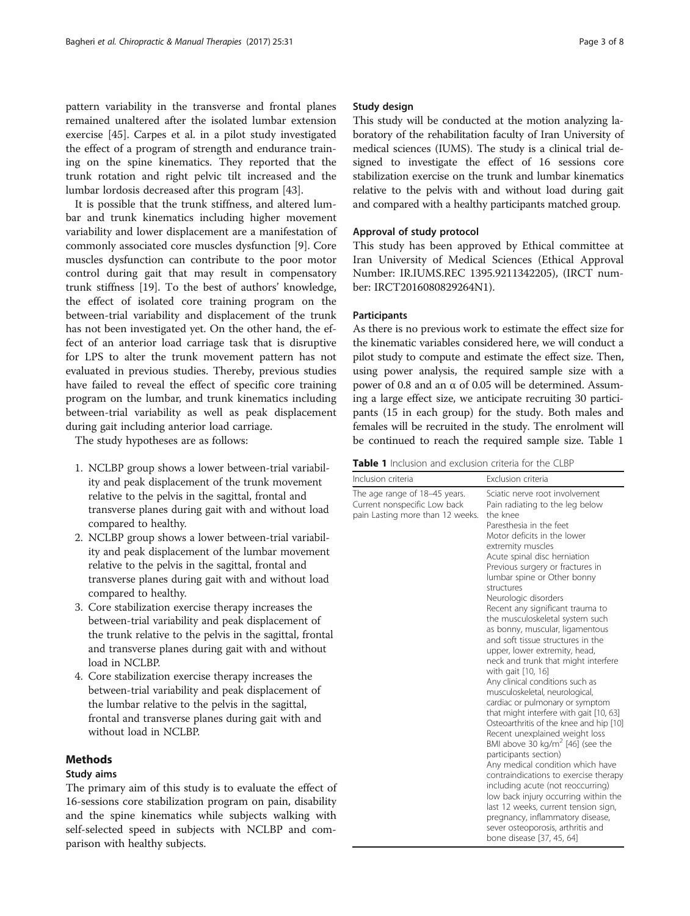pattern variability in the transverse and frontal planes remained unaltered after the isolated lumbar extension exercise [\[45](#page-7-0)]. Carpes et al. in a pilot study investigated the effect of a program of strength and endurance training on the spine kinematics. They reported that the trunk rotation and right pelvic tilt increased and the lumbar lordosis decreased after this program [[43\]](#page-7-0).

It is possible that the trunk stiffness, and altered lumbar and trunk kinematics including higher movement variability and lower displacement are a manifestation of commonly associated core muscles dysfunction [\[9](#page-6-0)]. Core muscles dysfunction can contribute to the poor motor control during gait that may result in compensatory trunk stiffness [\[19](#page-7-0)]. To the best of authors' knowledge, the effect of isolated core training program on the between-trial variability and displacement of the trunk has not been investigated yet. On the other hand, the effect of an anterior load carriage task that is disruptive for LPS to alter the trunk movement pattern has not evaluated in previous studies. Thereby, previous studies have failed to reveal the effect of specific core training program on the lumbar, and trunk kinematics including between-trial variability as well as peak displacement during gait including anterior load carriage.

The study hypotheses are as follows:

- 1. NCLBP group shows a lower between-trial variability and peak displacement of the trunk movement relative to the pelvis in the sagittal, frontal and transverse planes during gait with and without load compared to healthy.
- 2. NCLBP group shows a lower between-trial variability and peak displacement of the lumbar movement relative to the pelvis in the sagittal, frontal and transverse planes during gait with and without load compared to healthy.
- 3. Core stabilization exercise therapy increases the between-trial variability and peak displacement of the trunk relative to the pelvis in the sagittal, frontal and transverse planes during gait with and without load in NCLBP.
- 4. Core stabilization exercise therapy increases the between-trial variability and peak displacement of the lumbar relative to the pelvis in the sagittal, frontal and transverse planes during gait with and without load in NCLBP.

# Methods

#### Study aims

The primary aim of this study is to evaluate the effect of 16-sessions core stabilization program on pain, disability and the spine kinematics while subjects walking with self-selected speed in subjects with NCLBP and comparison with healthy subjects.

## Study design

This study will be conducted at the motion analyzing laboratory of the rehabilitation faculty of Iran University of medical sciences (IUMS). The study is a clinical trial designed to investigate the effect of 16 sessions core stabilization exercise on the trunk and lumbar kinematics relative to the pelvis with and without load during gait and compared with a healthy participants matched group.

# Approval of study protocol

This study has been approved by Ethical committee at Iran University of Medical Sciences (Ethical Approval Number: IR.IUMS.REC 1395.9211342205), (IRCT number: IRCT2016080829264N1).

## Participants

As there is no previous work to estimate the effect size for the kinematic variables considered here, we will conduct a pilot study to compute and estimate the effect size. Then, using power analysis, the required sample size with a power of 0.8 and an α of 0.05 will be determined. Assuming a large effect size, we anticipate recruiting 30 participants (15 in each group) for the study. Both males and females will be recruited in the study. The enrolment will be continued to reach the required sample size. Table 1

|  | <b>Table 1</b> Inclusion and exclusion criteria for the CLBP |  |  |
|--|--------------------------------------------------------------|--|--|
|  |                                                              |  |  |

| Inclusion criteria                                                                                | Exclusion criteria                                                                                                                                                                                                                                                                                                                                                                                                                                                                                                                                                                                                                                                                                                                                                                                                                                                                                                                                                                                                                                                                                |
|---------------------------------------------------------------------------------------------------|---------------------------------------------------------------------------------------------------------------------------------------------------------------------------------------------------------------------------------------------------------------------------------------------------------------------------------------------------------------------------------------------------------------------------------------------------------------------------------------------------------------------------------------------------------------------------------------------------------------------------------------------------------------------------------------------------------------------------------------------------------------------------------------------------------------------------------------------------------------------------------------------------------------------------------------------------------------------------------------------------------------------------------------------------------------------------------------------------|
| The age range of 18–45 years.<br>Current nonspecific Low back<br>pain Lasting more than 12 weeks. | Sciatic nerve root involvement<br>Pain radiating to the leg below<br>the knee<br>Paresthesia in the feet<br>Motor deficits in the lower<br>extremity muscles<br>Acute spinal disc herniation<br>Previous surgery or fractures in<br>lumbar spine or Other bonny<br>structures<br>Neurologic disorders<br>Recent any significant trauma to<br>the musculoskeletal system such<br>as bonny, muscular, ligamentous<br>and soft tissue structures in the<br>upper, lower extremity, head,<br>neck and trunk that might interfere<br>with gait [10, 16]<br>Any clinical conditions such as<br>musculoskeletal, neurological,<br>cardiac or pulmonary or symptom<br>that might interfere with gait [10, 63]<br>Osteoarthritis of the knee and hip [10]<br>Recent unexplained weight loss<br>BMI above 30 kg/m <sup>2</sup> [46] (see the<br>participants section)<br>Any medical condition which have<br>contraindications to exercise therapy<br>including acute (not reoccurring)<br>low back injury occurring within the<br>last 12 weeks, current tension sign,<br>pregnancy, inflammatory disease, |
|                                                                                                   | sever osteoporosis, arthritis and<br>bone disease [37, 45, 64]                                                                                                                                                                                                                                                                                                                                                                                                                                                                                                                                                                                                                                                                                                                                                                                                                                                                                                                                                                                                                                    |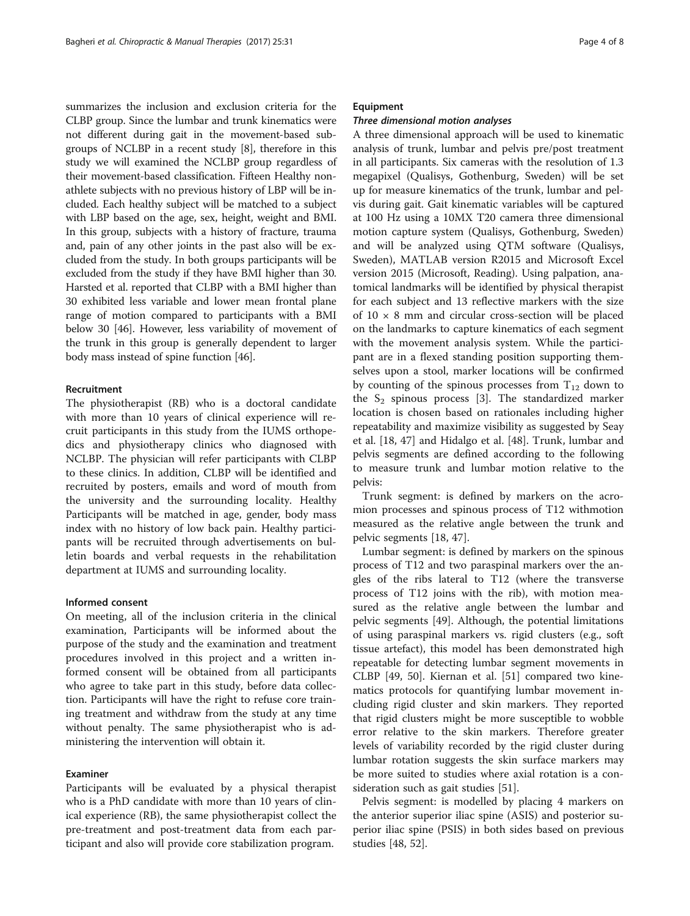summarizes the inclusion and exclusion criteria for the CLBP group. Since the lumbar and trunk kinematics were not different during gait in the movement-based subgroups of NCLBP in a recent study [[8](#page-6-0)], therefore in this study we will examined the NCLBP group regardless of their movement-based classification. Fifteen Healthy nonathlete subjects with no previous history of LBP will be included. Each healthy subject will be matched to a subject with LBP based on the age, sex, height, weight and BMI. In this group, subjects with a history of fracture, trauma and, pain of any other joints in the past also will be excluded from the study. In both groups participants will be excluded from the study if they have BMI higher than 30. Harsted et al. reported that CLBP with a BMI higher than 30 exhibited less variable and lower mean frontal plane range of motion compared to participants with a BMI below 30 [[46](#page-7-0)]. However, less variability of movement of the trunk in this group is generally dependent to larger body mass instead of spine function [[46](#page-7-0)].

#### Recruitment

The physiotherapist (RB) who is a doctoral candidate with more than 10 years of clinical experience will recruit participants in this study from the IUMS orthopedics and physiotherapy clinics who diagnosed with NCLBP. The physician will refer participants with CLBP to these clinics. In addition, CLBP will be identified and recruited by posters, emails and word of mouth from the university and the surrounding locality. Healthy Participants will be matched in age, gender, body mass index with no history of low back pain. Healthy participants will be recruited through advertisements on bulletin boards and verbal requests in the rehabilitation department at IUMS and surrounding locality.

## Informed consent

On meeting, all of the inclusion criteria in the clinical examination, Participants will be informed about the purpose of the study and the examination and treatment procedures involved in this project and a written informed consent will be obtained from all participants who agree to take part in this study, before data collection. Participants will have the right to refuse core training treatment and withdraw from the study at any time without penalty. The same physiotherapist who is administering the intervention will obtain it.

## Examiner

Participants will be evaluated by a physical therapist who is a PhD candidate with more than 10 years of clinical experience (RB), the same physiotherapist collect the pre-treatment and post-treatment data from each participant and also will provide core stabilization program.

# Equipment

## Three dimensional motion analyses

A three dimensional approach will be used to kinematic analysis of trunk, lumbar and pelvis pre/post treatment in all participants. Six cameras with the resolution of 1.3 megapixel (Qualisys, Gothenburg, Sweden) will be set up for measure kinematics of the trunk, lumbar and pelvis during gait. Gait kinematic variables will be captured at 100 Hz using a 10MX T20 camera three dimensional motion capture system (Qualisys, Gothenburg, Sweden) and will be analyzed using QTM software (Qualisys, Sweden), MATLAB version R2015 and Microsoft Excel version 2015 (Microsoft, Reading). Using palpation, anatomical landmarks will be identified by physical therapist for each subject and 13 reflective markers with the size of  $10 \times 8$  mm and circular cross-section will be placed on the landmarks to capture kinematics of each segment with the movement analysis system. While the participant are in a flexed standing position supporting themselves upon a stool, marker locations will be confirmed by counting of the spinous processes from  $T_{12}$  down to the  $S_2$  spinous process [[3\]](#page-6-0). The standardized marker location is chosen based on rationales including higher repeatability and maximize visibility as suggested by Seay et al. [[18, 47\]](#page-7-0) and Hidalgo et al. [\[48](#page-7-0)]. Trunk, lumbar and pelvis segments are defined according to the following to measure trunk and lumbar motion relative to the pelvis:

Trunk segment: is defined by markers on the acromion processes and spinous process of T12 withmotion measured as the relative angle between the trunk and pelvic segments [\[18](#page-7-0), [47](#page-7-0)].

Lumbar segment: is defined by markers on the spinous process of T12 and two paraspinal markers over the angles of the ribs lateral to T12 (where the transverse process of T12 joins with the rib), with motion measured as the relative angle between the lumbar and pelvic segments [\[49](#page-7-0)]. Although, the potential limitations of using paraspinal markers vs. rigid clusters (e.g., soft tissue artefact), this model has been demonstrated high repeatable for detecting lumbar segment movements in CLBP [[49](#page-7-0), [50\]](#page-7-0). Kiernan et al. [\[51](#page-7-0)] compared two kinematics protocols for quantifying lumbar movement including rigid cluster and skin markers. They reported that rigid clusters might be more susceptible to wobble error relative to the skin markers. Therefore greater levels of variability recorded by the rigid cluster during lumbar rotation suggests the skin surface markers may be more suited to studies where axial rotation is a consideration such as gait studies [\[51\]](#page-7-0).

Pelvis segment: is modelled by placing 4 markers on the anterior superior iliac spine (ASIS) and posterior superior iliac spine (PSIS) in both sides based on previous studies [\[48, 52\]](#page-7-0).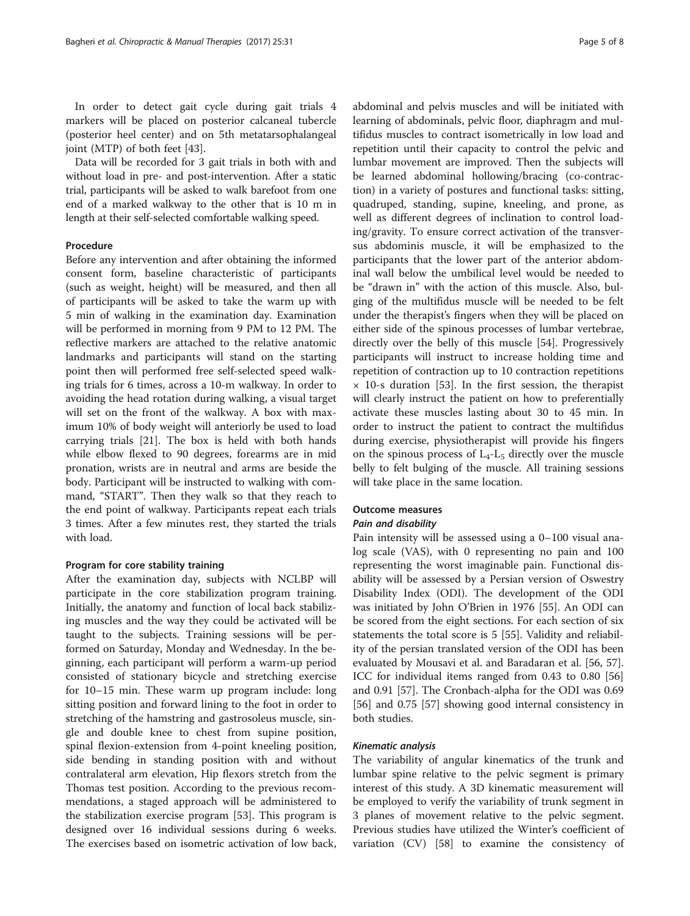In order to detect gait cycle during gait trials 4 markers will be placed on posterior calcaneal tubercle (posterior heel center) and on 5th metatarsophalangeal joint (MTP) of both feet [[43](#page-7-0)].

Data will be recorded for 3 gait trials in both with and without load in pre- and post-intervention. After a static trial, participants will be asked to walk barefoot from one end of a marked walkway to the other that is 10 m in length at their self-selected comfortable walking speed.

## Procedure

Before any intervention and after obtaining the informed consent form, baseline characteristic of participants (such as weight, height) will be measured, and then all of participants will be asked to take the warm up with 5 min of walking in the examination day. Examination will be performed in morning from 9 PM to 12 PM. The reflective markers are attached to the relative anatomic landmarks and participants will stand on the starting point then will performed free self-selected speed walking trials for 6 times, across a 10-m walkway. In order to avoiding the head rotation during walking, a visual target will set on the front of the walkway. A box with maximum 10% of body weight will anteriorly be used to load carrying trials [[21](#page-7-0)]. The box is held with both hands while elbow flexed to 90 degrees, forearms are in mid pronation, wrists are in neutral and arms are beside the body. Participant will be instructed to walking with command, "START". Then they walk so that they reach to the end point of walkway. Participants repeat each trials 3 times. After a few minutes rest, they started the trials with load.

#### Program for core stability training

After the examination day, subjects with NCLBP will participate in the core stabilization program training. Initially, the anatomy and function of local back stabilizing muscles and the way they could be activated will be taught to the subjects. Training sessions will be performed on Saturday, Monday and Wednesday. In the beginning, each participant will perform a warm-up period consisted of stationary bicycle and stretching exercise for 10–15 min. These warm up program include: long sitting position and forward lining to the foot in order to stretching of the hamstring and gastrosoleus muscle, single and double knee to chest from supine position, spinal flexion-extension from 4-point kneeling position, side bending in standing position with and without contralateral arm elevation, Hip flexors stretch from the Thomas test position. According to the previous recommendations, a staged approach will be administered to the stabilization exercise program [[53](#page-7-0)]. This program is designed over 16 individual sessions during 6 weeks. The exercises based on isometric activation of low back,

abdominal and pelvis muscles and will be initiated with learning of abdominals, pelvic floor, diaphragm and multifidus muscles to contract isometrically in low load and repetition until their capacity to control the pelvic and lumbar movement are improved. Then the subjects will be learned abdominal hollowing/bracing (co-contraction) in a variety of postures and functional tasks: sitting, quadruped, standing, supine, kneeling, and prone, as well as different degrees of inclination to control loading/gravity. To ensure correct activation of the transversus abdominis muscle, it will be emphasized to the participants that the lower part of the anterior abdominal wall below the umbilical level would be needed to be "drawn in" with the action of this muscle. Also, bulging of the multifidus muscle will be needed to be felt under the therapist's fingers when they will be placed on either side of the spinous processes of lumbar vertebrae, directly over the belly of this muscle [\[54](#page-7-0)]. Progressively participants will instruct to increase holding time and repetition of contraction up to 10 contraction repetitions  $\times$  10-s duration [\[53\]](#page-7-0). In the first session, the therapist will clearly instruct the patient on how to preferentially activate these muscles lasting about 30 to 45 min. In order to instruct the patient to contract the multifidus during exercise, physiotherapist will provide his fingers on the spinous process of  $L_4$ - $L_5$  directly over the muscle belly to felt bulging of the muscle. All training sessions will take place in the same location.

# Outcome measures

#### Pain and disability

Pain intensity will be assessed using a 0–100 visual analog scale (VAS), with 0 representing no pain and 100 representing the worst imaginable pain. Functional disability will be assessed by a Persian version of Oswestry Disability Index (ODI). The development of the ODI was initiated by John O'Brien in 1976 [\[55](#page-7-0)]. An ODI can be scored from the eight sections. For each section of six statements the total score is 5 [[55\]](#page-7-0). Validity and reliability of the persian translated version of the ODI has been evaluated by Mousavi et al. and Baradaran et al. [\[56](#page-7-0), [57](#page-7-0)]. ICC for individual items ranged from 0.43 to 0.80 [[56](#page-7-0)] and 0.91 [[57\]](#page-7-0). The Cronbach-alpha for the ODI was 0.69 [[56\]](#page-7-0) and 0.75 [[57\]](#page-7-0) showing good internal consistency in both studies.

# Kinematic analysis

The variability of angular kinematics of the trunk and lumbar spine relative to the pelvic segment is primary interest of this study. A 3D kinematic measurement will be employed to verify the variability of trunk segment in 3 planes of movement relative to the pelvic segment. Previous studies have utilized the Winter's coefficient of variation (CV) [[58\]](#page-7-0) to examine the consistency of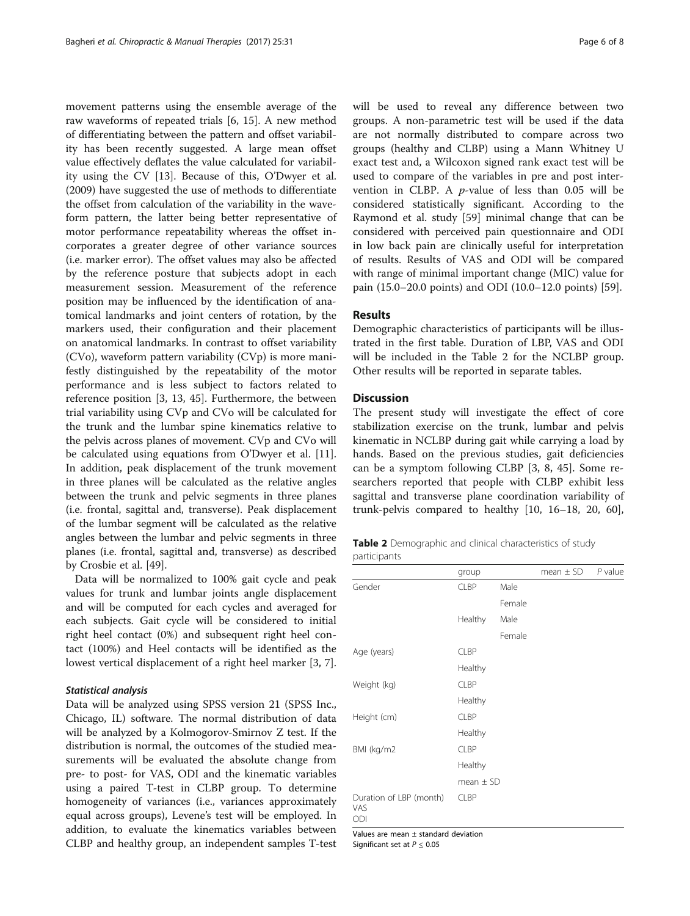movement patterns using the ensemble average of the raw waveforms of repeated trials [\[6](#page-6-0), [15\]](#page-7-0). A new method of differentiating between the pattern and offset variability has been recently suggested. A large mean offset value effectively deflates the value calculated for variability using the CV [[13\]](#page-6-0). Because of this, O'Dwyer et al. (2009) have suggested the use of methods to differentiate the offset from calculation of the variability in the waveform pattern, the latter being better representative of motor performance repeatability whereas the offset incorporates a greater degree of other variance sources (i.e. marker error). The offset values may also be affected by the reference posture that subjects adopt in each measurement session. Measurement of the reference position may be influenced by the identification of anatomical landmarks and joint centers of rotation, by the markers used, their configuration and their placement on anatomical landmarks. In contrast to offset variability (CVo), waveform pattern variability (CVp) is more manifestly distinguished by the repeatability of the motor performance and is less subject to factors related to reference position [[3, 13](#page-6-0), [45\]](#page-7-0). Furthermore, the between trial variability using CVp and CVo will be calculated for the trunk and the lumbar spine kinematics relative to the pelvis across planes of movement. CVp and CVo will be calculated using equations from O'Dwyer et al. [\[11](#page-6-0)]. In addition, peak displacement of the trunk movement in three planes will be calculated as the relative angles between the trunk and pelvic segments in three planes (i.e. frontal, sagittal and, transverse). Peak displacement of the lumbar segment will be calculated as the relative angles between the lumbar and pelvic segments in three planes (i.e. frontal, sagittal and, transverse) as described by Crosbie et al. [\[49\]](#page-7-0).

Data will be normalized to 100% gait cycle and peak values for trunk and lumbar joints angle displacement and will be computed for each cycles and averaged for each subjects. Gait cycle will be considered to initial right heel contact (0%) and subsequent right heel contact (100%) and Heel contacts will be identified as the lowest vertical displacement of a right heel marker [\[3](#page-6-0), [7](#page-6-0)].

#### Statistical analysis

Data will be analyzed using SPSS version 21 (SPSS Inc., Chicago, IL) software. The normal distribution of data will be analyzed by a Kolmogorov-Smirnov Z test. If the distribution is normal, the outcomes of the studied measurements will be evaluated the absolute change from pre- to post- for VAS, ODI and the kinematic variables using a paired T-test in CLBP group. To determine homogeneity of variances (i.e., variances approximately equal across groups), Levene's test will be employed. In addition, to evaluate the kinematics variables between CLBP and healthy group, an independent samples T-test will be used to reveal any difference between two groups. A non-parametric test will be used if the data are not normally distributed to compare across two groups (healthy and CLBP) using a Mann Whitney U exact test and, a Wilcoxon signed rank exact test will be used to compare of the variables in pre and post intervention in CLBP. A  $p$ -value of less than 0.05 will be considered statistically significant. According to the Raymond et al. study [\[59](#page-7-0)] minimal change that can be considered with perceived pain questionnaire and ODI in low back pain are clinically useful for interpretation of results. Results of VAS and ODI will be compared with range of minimal important change (MIC) value for pain (15.0–20.0 points) and ODI (10.0–12.0 points) [[59\]](#page-7-0).

## Results

Demographic characteristics of participants will be illustrated in the first table. Duration of LBP, VAS and ODI will be included in the Table 2 for the NCLBP group. Other results will be reported in separate tables.

# **Discussion**

The present study will investigate the effect of core stabilization exercise on the trunk, lumbar and pelvis kinematic in NCLBP during gait while carrying a load by hands. Based on the previous studies, gait deficiencies can be a symptom following CLBP [\[3](#page-6-0), [8](#page-6-0), [45](#page-7-0)]. Some researchers reported that people with CLBP exhibit less sagittal and transverse plane coordination variability of trunk-pelvis compared to healthy [\[10,](#page-6-0) [16](#page-7-0)–[18, 20](#page-7-0), [60](#page-7-0)],

| Table 2 Demographic and clinical characteristics of study |  |  |
|-----------------------------------------------------------|--|--|
| participants                                              |  |  |

|                                       | group         |        | mean $\pm$ SD | $P$ value |
|---------------------------------------|---------------|--------|---------------|-----------|
| Gender                                | <b>CLBP</b>   | Male   |               |           |
|                                       |               | Female |               |           |
|                                       | Healthy       | Male   |               |           |
|                                       |               | Female |               |           |
| Age (years)                           | <b>CLBP</b>   |        |               |           |
|                                       | Healthy       |        |               |           |
| Weight (kg)                           | <b>CLBP</b>   |        |               |           |
|                                       | Healthy       |        |               |           |
| Height (cm)                           | <b>CLBP</b>   |        |               |           |
|                                       | Healthy       |        |               |           |
| BMI (kg/m2                            | <b>CLBP</b>   |        |               |           |
|                                       | Healthy       |        |               |           |
|                                       | mean $\pm$ SD |        |               |           |
| Duration of LBP (month)<br>VAS<br>ODI | <b>CLBP</b>   |        |               |           |

Values are mean  $\pm$  standard deviation Significant set at  $P \leq 0.05$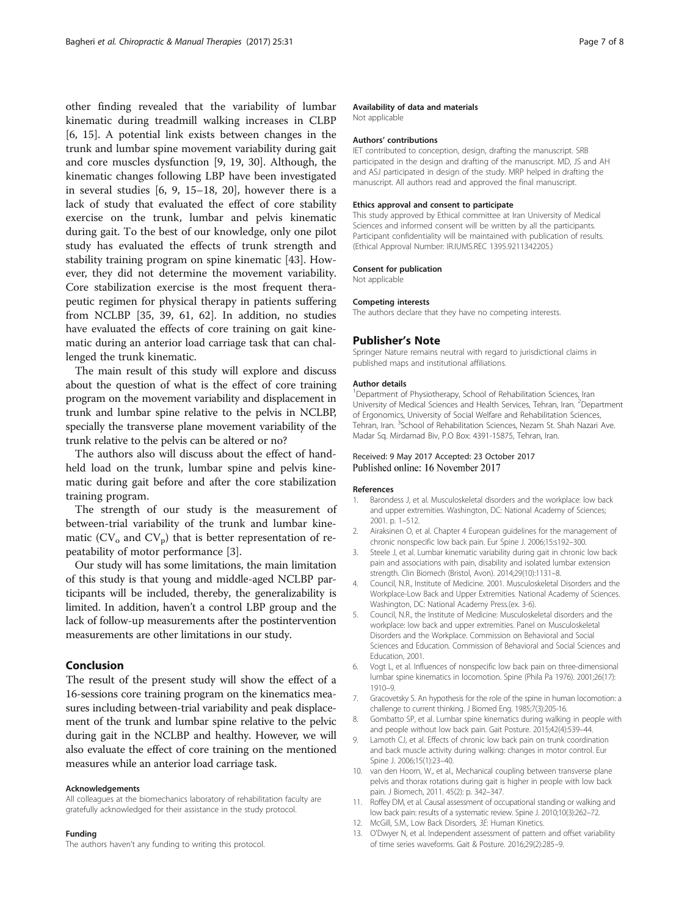<span id="page-6-0"></span>other finding revealed that the variability of lumbar kinematic during treadmill walking increases in CLBP [6, [15](#page-7-0)]. A potential link exists between changes in the trunk and lumbar spine movement variability during gait and core muscles dysfunction [9, [19](#page-7-0), [30](#page-7-0)]. Although, the kinematic changes following LBP have been investigated in several studies [6, 9, [15](#page-7-0)–[18](#page-7-0), [20\]](#page-7-0), however there is a lack of study that evaluated the effect of core stability exercise on the trunk, lumbar and pelvis kinematic during gait. To the best of our knowledge, only one pilot study has evaluated the effects of trunk strength and stability training program on spine kinematic [\[43\]](#page-7-0). However, they did not determine the movement variability. Core stabilization exercise is the most frequent therapeutic regimen for physical therapy in patients suffering from NCLBP [[35, 39, 61, 62\]](#page-7-0). In addition, no studies have evaluated the effects of core training on gait kinematic during an anterior load carriage task that can challenged the trunk kinematic.

The main result of this study will explore and discuss about the question of what is the effect of core training program on the movement variability and displacement in trunk and lumbar spine relative to the pelvis in NCLBP, specially the transverse plane movement variability of the trunk relative to the pelvis can be altered or no?

The authors also will discuss about the effect of handheld load on the trunk, lumbar spine and pelvis kinematic during gait before and after the core stabilization training program.

The strength of our study is the measurement of between-trial variability of the trunk and lumbar kinematic  $(CV_0$  and  $CV_p)$  that is better representation of repeatability of motor performance [3].

Our study will has some limitations, the main limitation of this study is that young and middle-aged NCLBP participants will be included, thereby, the generalizability is limited. In addition, haven't a control LBP group and the lack of follow-up measurements after the postintervention measurements are other limitations in our study.

## Conclusion

The result of the present study will show the effect of a 16-sessions core training program on the kinematics measures including between-trial variability and peak displacement of the trunk and lumbar spine relative to the pelvic during gait in the NCLBP and healthy. However, we will also evaluate the effect of core training on the mentioned measures while an anterior load carriage task.

#### Acknowledgements

All colleagues at the biomechanics laboratory of rehabilitation faculty are gratefully acknowledged for their assistance in the study protocol.

#### Funding

The authors haven't any funding to writing this protocol.

#### Availability of data and materials

Not applicable

#### Authors' contributions

IET contributed to conception, design, drafting the manuscript. SRB participated in the design and drafting of the manuscript. MD, JS and AH and ASJ participated in design of the study. MRP helped in drafting the manuscript. All authors read and approved the final manuscript.

#### Ethics approval and consent to participate

This study approved by Ethical committee at Iran University of Medical Sciences and informed consent will be written by all the participants. Participant confidentiality will be maintained with publication of results. (Ethical Approval Number: IR.IUMS.REC 1395.9211342205.)

## Consent for publication

Not applicable

#### Competing interests

The authors declare that they have no competing interests.

#### Publisher's Note

Springer Nature remains neutral with regard to jurisdictional claims in published maps and institutional affiliations.

#### Author details

<sup>1</sup>Department of Physiotherapy, School of Rehabilitation Sciences, Iran University of Medical Sciences and Health Services, Tehran, Iran. <sup>2</sup>Department of Ergonomics, University of Social Welfare and Rehabilitation Sciences, Tehran, Iran. <sup>3</sup>School of Rehabilitation Sciences, Nezam St. Shah Nazari Ave. Madar Sq. Mirdamad Biv, P.O Box: 4391-15875, Tehran, Iran.

#### Received: 9 May 2017 Accepted: 23 October 2017 Published online: 16 November 2017

#### References

- Barondess J, et al. Musculoskeletal disorders and the workplace: low back and upper extremities. Washington, DC: National Academy of Sciences; 2001. p. 1–512.
- 2. Airaksinen O, et al. Chapter 4 European guidelines for the management of chronic nonspecific low back pain. Eur Spine J. 2006;15:s192–300.
- 3. Steele J, et al. Lumbar kinematic variability during gait in chronic low back pain and associations with pain, disability and isolated lumbar extension strength. Clin Biomech (Bristol, Avon). 2014;29(10):1131–8.
- 4. Council, N.R., Institute of Medicine. 2001. Musculoskeletal Disorders and the Workplace-Low Back and Upper Extremities. National Academy of Sciences. Washington, DC: National Academy Press.(ex. 3-6).
- 5. Council, N.R., the Institute of Medicine: Musculoskeletal disorders and the workplace: low back and upper extremities. Panel on Musculoskeletal Disorders and the Workplace. Commission on Behavioral and Social Sciences and Education. Commission of Behavioral and Social Sciences and Education, 2001.
- 6. Vogt L, et al. Influences of nonspecific low back pain on three-dimensional lumbar spine kinematics in locomotion. Spine (Phila Pa 1976). 2001;26(17): 1910–9.
- 7. Gracovetsky S. An hypothesis for the role of the spine in human locomotion: a challenge to current thinking. J Biomed Eng. 1985;7(3):205-16.
- 8. Gombatto SP, et al. Lumbar spine kinematics during walking in people with and people without low back pain. Gait Posture. 2015;42(4):539–44.
- 9. Lamoth CJ, et al. Effects of chronic low back pain on trunk coordination and back muscle activity during walking: changes in motor control. Eur Spine J. 2006;15(1):23–40.
- 10. van den Hoorn, W., et al., Mechanical coupling between transverse plane pelvis and thorax rotations during gait is higher in people with low back pain. J Biomech, 2011. 45(2): p. 342–347.
- 11. Roffey DM, et al. Causal assessment of occupational standing or walking and low back pain: results of a systematic review. Spine J. 2010;10(3):262–72.
- 12. McGill, S.M., Low Back Disorders, 3E: Human Kinetics.
- 13. O'Dwyer N, et al. Independent assessment of pattern and offset variability of time series waveforms. Gait & Posture. 2016;29(2):285–9.